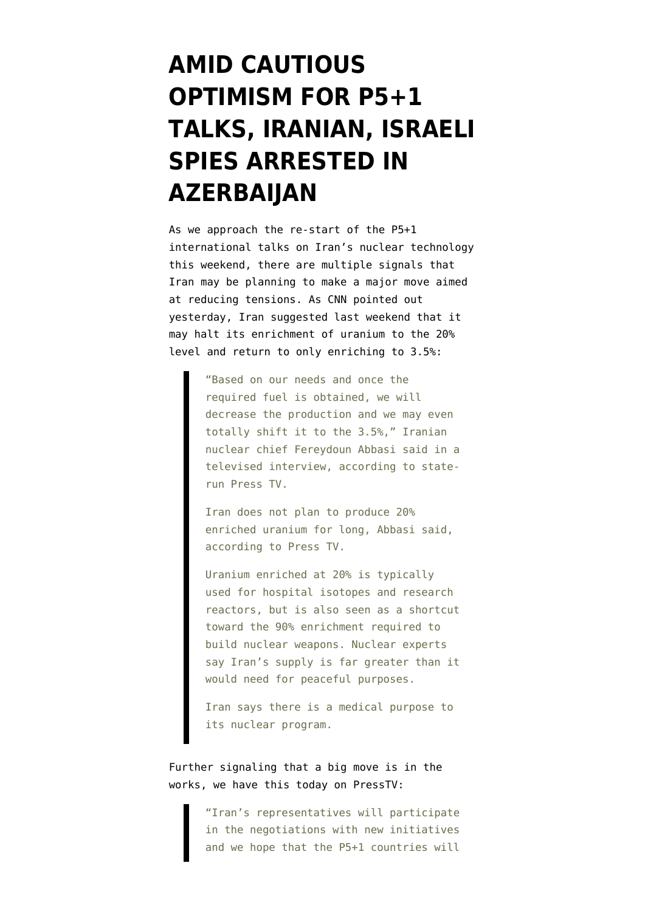## **[AMID CAUTIOUS](https://www.emptywheel.net/2012/04/11/amid-cautious-optimism-for-p51-talks-iranian-israeli-spies-arrested-in-azerbaijan/) [OPTIMISM FOR P5+1](https://www.emptywheel.net/2012/04/11/amid-cautious-optimism-for-p51-talks-iranian-israeli-spies-arrested-in-azerbaijan/) [TALKS, IRANIAN, ISRAELI](https://www.emptywheel.net/2012/04/11/amid-cautious-optimism-for-p51-talks-iranian-israeli-spies-arrested-in-azerbaijan/) [SPIES ARRESTED IN](https://www.emptywheel.net/2012/04/11/amid-cautious-optimism-for-p51-talks-iranian-israeli-spies-arrested-in-azerbaijan/) [AZERBAIJAN](https://www.emptywheel.net/2012/04/11/amid-cautious-optimism-for-p51-talks-iranian-israeli-spies-arrested-in-azerbaijan/)**

As we approach the re-start of the P5+1 international talks on Iran's nuclear technology this weekend, there are multiple signals that Iran may be planning to make a major move aimed at reducing tensions. As [CNN pointed out](http://www.cnn.com/2012/04/09/world/meast/iran-nuclear-talks/index.html) [yesterday,](http://www.cnn.com/2012/04/09/world/meast/iran-nuclear-talks/index.html) Iran suggested last weekend that it may halt its enrichment of uranium to the 20% level and return to only enriching to 3.5%:

> "Based on our needs and once the required fuel is obtained, we will decrease the production and we may even totally shift it to the 3.5%," Iranian nuclear chief Fereydoun Abbasi said in a televised interview, according to staterun Press TV.

Iran does not plan to produce 20% enriched uranium for long, Abbasi said, according to Press TV.

Uranium enriched at 20% is typically used for hospital isotopes and research reactors, but is also seen as a shortcut toward the 90% enrichment required to build nuclear weapons. Nuclear experts say Iran's supply is far greater than it would need for peaceful purposes.

Iran says there is a medical purpose to its nuclear program.

Further signaling that a big move is in the works, we have this today o[n PressTV](http://presstv.com/detail/235676.html):

> "Iran's representatives will participate in the negotiations with new initiatives and we hope that the P5+1 countries will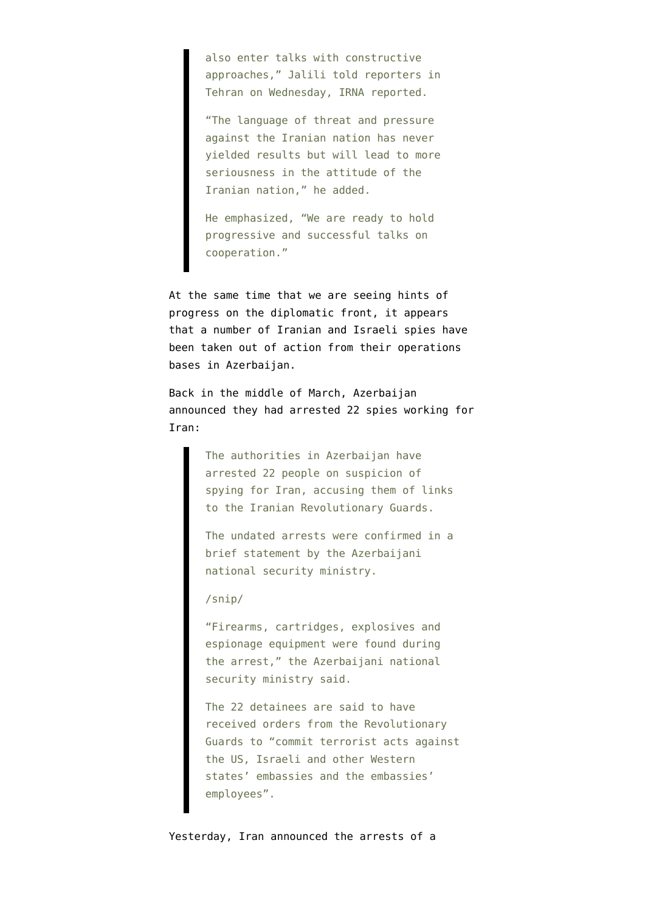also enter talks with constructive approaches," Jalili told reporters in Tehran on Wednesday, IRNA reported.

"The language of threat and pressure against the Iranian nation has never yielded results but will lead to more seriousness in the attitude of the Iranian nation," he added.

He emphasized, "We are ready to hold progressive and successful talks on cooperation."

At the same time that we are seeing hints of progress on the diplomatic front, it appears that a number of Iranian and Israeli spies have been taken out of action from their operations bases in Azerbaijan.

Back in the middle of March, Azerbaijan announced they had [arrested 22 spies working for](http://www.bbc.co.uk/news/world-europe-17368576) [Iran](http://www.bbc.co.uk/news/world-europe-17368576):

> The authorities in Azerbaijan have arrested 22 people on suspicion of spying for Iran, accusing them of links to the Iranian Revolutionary Guards.

> The undated arrests were confirmed in a brief statement by the Azerbaijani national security ministry.

/snip/

"Firearms, cartridges, explosives and espionage equipment were found during the arrest," the Azerbaijani national security ministry said.

The 22 detainees are said to have received orders from the Revolutionary Guards to "commit terrorist acts against the US, Israeli and other Western states' embassies and the embassies' employees".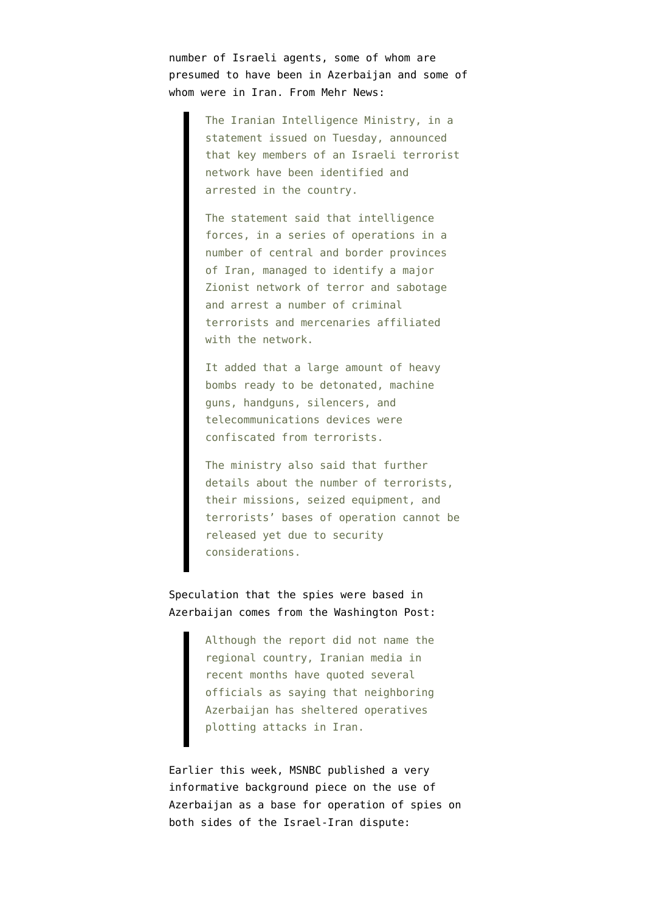number of Israeli agents, some of whom are presumed to have been in Azerbaijan and some of whom were in Iran. From [Mehr News:](http://www.mehrnews.com/en/newsdetail.aspx?NewsID=1573708)

> The Iranian Intelligence Ministry, in a statement issued on Tuesday, announced that key members of an Israeli terrorist network have been identified and arrested in the country.

The statement said that intelligence forces, in a series of operations in a number of central and border provinces of Iran, managed to identify a major Zionist network of terror and sabotage and arrest a number of criminal terrorists and mercenaries affiliated with the network.

It added that a large amount of heavy bombs ready to be detonated, machine guns, handguns, silencers, and telecommunications devices were confiscated from terrorists.

The ministry also said that further details about the number of terrorists, their missions, seized equipment, and terrorists' bases of operation cannot be released yet due to security considerations.

## Speculation that the spies were based in Azerbaijan comes from the [Washington Post:](http://www.washingtonpost.com/world/middle_east/iran-says-it-captured-israel-backed-terrorist-team/2012/04/10/gIQA8I3I8S_story.html)

Although the report did not name the regional country, Iranian media in recent months have quoted several officials as saying that neighboring Azerbaijan has sheltered operatives plotting attacks in Iran.

Earlier this week, [MSNBC published a very](http://worldnews.msnbc.msn.com/_news/2012/04/09/11036848-like-casablanca-in-world-war-ii-as-iran-tensions-grow-azerbaijan-becomes-den-of-spies?lite) [informative background piece](http://worldnews.msnbc.msn.com/_news/2012/04/09/11036848-like-casablanca-in-world-war-ii-as-iran-tensions-grow-azerbaijan-becomes-den-of-spies?lite) on the use of Azerbaijan as a base for operation of spies on both sides of the Israel-Iran dispute: